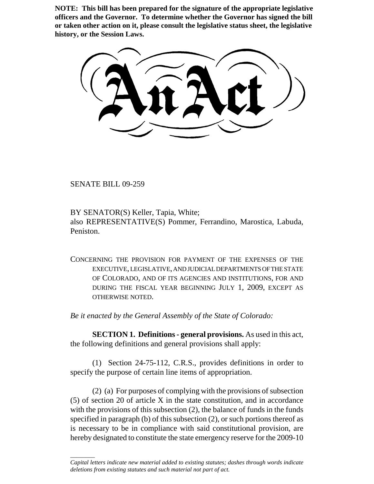**NOTE: This bill has been prepared for the signature of the appropriate legislative officers and the Governor. To determine whether the Governor has signed the bill or taken other action on it, please consult the legislative status sheet, the legislative history, or the Session Laws.**

SENATE BILL 09-259

\_\_\_\_\_\_\_\_

BY SENATOR(S) Keller, Tapia, White; also REPRESENTATIVE(S) Pommer, Ferrandino, Marostica, Labuda, Peniston.

CONCERNING THE PROVISION FOR PAYMENT OF THE EXPENSES OF THE EXECUTIVE, LEGISLATIVE, AND JUDICIAL DEPARTMENTS OF THE STATE OF COLORADO, AND OF ITS AGENCIES AND INSTITUTIONS, FOR AND DURING THE FISCAL YEAR BEGINNING JULY 1, 2009, EXCEPT AS OTHERWISE NOTED.

*Be it enacted by the General Assembly of the State of Colorado:*

**SECTION 1. Definitions - general provisions.** As used in this act, the following definitions and general provisions shall apply:

(1) Section 24-75-112, C.R.S., provides definitions in order to specify the purpose of certain line items of appropriation.

(2) (a) For purposes of complying with the provisions of subsection (5) of section 20 of article X in the state constitution, and in accordance with the provisions of this subsection (2), the balance of funds in the funds specified in paragraph (b) of this subsection (2), or such portions thereof as is necessary to be in compliance with said constitutional provision, are hereby designated to constitute the state emergency reserve for the 2009-10

*Capital letters indicate new material added to existing statutes; dashes through words indicate deletions from existing statutes and such material not part of act.*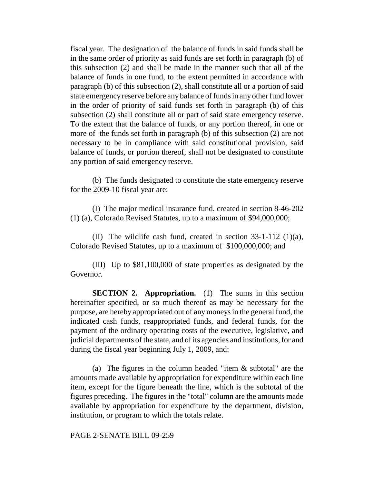fiscal year. The designation of the balance of funds in said funds shall be in the same order of priority as said funds are set forth in paragraph (b) of this subsection (2) and shall be made in the manner such that all of the balance of funds in one fund, to the extent permitted in accordance with paragraph (b) of this subsection (2), shall constitute all or a portion of said state emergency reserve before any balance of funds in any other fund lower in the order of priority of said funds set forth in paragraph (b) of this subsection (2) shall constitute all or part of said state emergency reserve. To the extent that the balance of funds, or any portion thereof, in one or more of the funds set forth in paragraph (b) of this subsection (2) are not necessary to be in compliance with said constitutional provision, said balance of funds, or portion thereof, shall not be designated to constitute any portion of said emergency reserve.

(b) The funds designated to constitute the state emergency reserve for the 2009-10 fiscal year are:

(I) The major medical insurance fund, created in section 8-46-202 (1) (a), Colorado Revised Statutes, up to a maximum of \$94,000,000;

(II) The wildlife cash fund, created in section 33-1-112 (1)(a), Colorado Revised Statutes, up to a maximum of \$100,000,000; and

(III) Up to \$81,100,000 of state properties as designated by the Governor.

**SECTION 2. Appropriation.** (1) The sums in this section hereinafter specified, or so much thereof as may be necessary for the purpose, are hereby appropriated out of any moneys in the general fund, the indicated cash funds, reappropriated funds, and federal funds, for the payment of the ordinary operating costs of the executive, legislative, and judicial departments of the state, and of its agencies and institutions, for and during the fiscal year beginning July 1, 2009, and:

(a) The figures in the column headed "item & subtotal" are the amounts made available by appropriation for expenditure within each line item, except for the figure beneath the line, which is the subtotal of the figures preceding. The figures in the "total" column are the amounts made available by appropriation for expenditure by the department, division, institution, or program to which the totals relate.

PAGE 2-SENATE BILL 09-259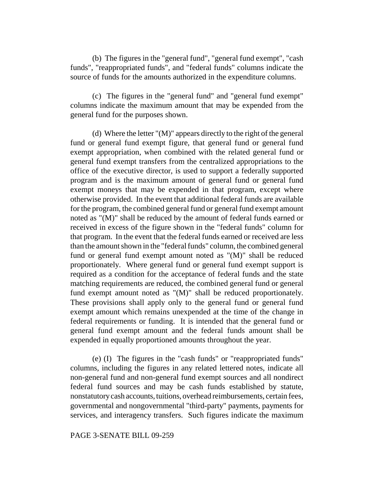(b) The figures in the "general fund", "general fund exempt", "cash funds", "reappropriated funds", and "federal funds" columns indicate the source of funds for the amounts authorized in the expenditure columns.

(c) The figures in the "general fund" and "general fund exempt" columns indicate the maximum amount that may be expended from the general fund for the purposes shown.

(d) Where the letter "(M)" appears directly to the right of the general fund or general fund exempt figure, that general fund or general fund exempt appropriation, when combined with the related general fund or general fund exempt transfers from the centralized appropriations to the office of the executive director, is used to support a federally supported program and is the maximum amount of general fund or general fund exempt moneys that may be expended in that program, except where otherwise provided. In the event that additional federal funds are available for the program, the combined general fund or general fund exempt amount noted as "(M)" shall be reduced by the amount of federal funds earned or received in excess of the figure shown in the "federal funds" column for that program. In the event that the federal funds earned or received are less than the amount shown in the "federal funds" column, the combined general fund or general fund exempt amount noted as "(M)" shall be reduced proportionately. Where general fund or general fund exempt support is required as a condition for the acceptance of federal funds and the state matching requirements are reduced, the combined general fund or general fund exempt amount noted as "(M)" shall be reduced proportionately. These provisions shall apply only to the general fund or general fund exempt amount which remains unexpended at the time of the change in federal requirements or funding. It is intended that the general fund or general fund exempt amount and the federal funds amount shall be expended in equally proportioned amounts throughout the year.

(e) (I) The figures in the "cash funds" or "reappropriated funds" columns, including the figures in any related lettered notes, indicate all non-general fund and non-general fund exempt sources and all nondirect federal fund sources and may be cash funds established by statute, nonstatutory cash accounts, tuitions, overhead reimbursements, certain fees, governmental and nongovernmental "third-party" payments, payments for services, and interagency transfers. Such figures indicate the maximum

## PAGE 3-SENATE BILL 09-259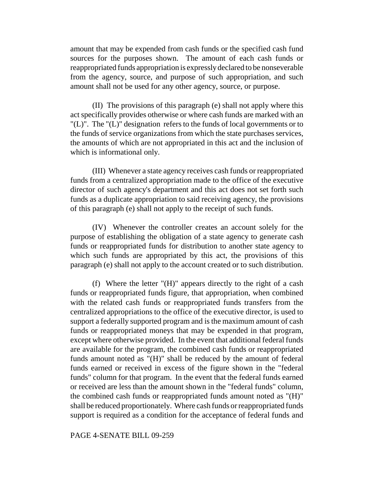amount that may be expended from cash funds or the specified cash fund sources for the purposes shown. The amount of each cash funds or reappropriated funds appropriation is expressly declared to be nonseverable from the agency, source, and purpose of such appropriation, and such amount shall not be used for any other agency, source, or purpose.

(II) The provisions of this paragraph (e) shall not apply where this act specifically provides otherwise or where cash funds are marked with an "(L)". The "(L)" designation refers to the funds of local governments or to the funds of service organizations from which the state purchases services, the amounts of which are not appropriated in this act and the inclusion of which is informational only.

(III) Whenever a state agency receives cash funds or reappropriated funds from a centralized appropriation made to the office of the executive director of such agency's department and this act does not set forth such funds as a duplicate appropriation to said receiving agency, the provisions of this paragraph (e) shall not apply to the receipt of such funds.

(IV) Whenever the controller creates an account solely for the purpose of establishing the obligation of a state agency to generate cash funds or reappropriated funds for distribution to another state agency to which such funds are appropriated by this act, the provisions of this paragraph (e) shall not apply to the account created or to such distribution.

(f) Where the letter "(H)" appears directly to the right of a cash funds or reappropriated funds figure, that appropriation, when combined with the related cash funds or reappropriated funds transfers from the centralized appropriations to the office of the executive director, is used to support a federally supported program and is the maximum amount of cash funds or reappropriated moneys that may be expended in that program, except where otherwise provided. In the event that additional federal funds are available for the program, the combined cash funds or reappropriated funds amount noted as "(H)" shall be reduced by the amount of federal funds earned or received in excess of the figure shown in the "federal funds" column for that program. In the event that the federal funds earned or received are less than the amount shown in the "federal funds" column, the combined cash funds or reappropriated funds amount noted as "(H)" shall be reduced proportionately. Where cash funds or reappropriated funds support is required as a condition for the acceptance of federal funds and

## PAGE 4-SENATE BILL 09-259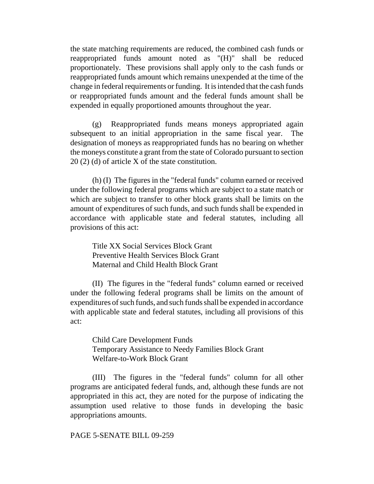the state matching requirements are reduced, the combined cash funds or reappropriated funds amount noted as "(H)" shall be reduced proportionately. These provisions shall apply only to the cash funds or reappropriated funds amount which remains unexpended at the time of the change in federal requirements or funding. It is intended that the cash funds or reappropriated funds amount and the federal funds amount shall be expended in equally proportioned amounts throughout the year.

(g) Reappropriated funds means moneys appropriated again subsequent to an initial appropriation in the same fiscal year. The designation of moneys as reappropriated funds has no bearing on whether the moneys constitute a grant from the state of Colorado pursuant to section 20 (2) (d) of article X of the state constitution.

(h) (I) The figures in the "federal funds" column earned or received under the following federal programs which are subject to a state match or which are subject to transfer to other block grants shall be limits on the amount of expenditures of such funds, and such funds shall be expended in accordance with applicable state and federal statutes, including all provisions of this act:

Title XX Social Services Block Grant Preventive Health Services Block Grant Maternal and Child Health Block Grant

(II) The figures in the "federal funds" column earned or received under the following federal programs shall be limits on the amount of expenditures of such funds, and such funds shall be expended in accordance with applicable state and federal statutes, including all provisions of this act:

Child Care Development Funds Temporary Assistance to Needy Families Block Grant Welfare-to-Work Block Grant

(III) The figures in the "federal funds" column for all other programs are anticipated federal funds, and, although these funds are not appropriated in this act, they are noted for the purpose of indicating the assumption used relative to those funds in developing the basic appropriations amounts.

PAGE 5-SENATE BILL 09-259